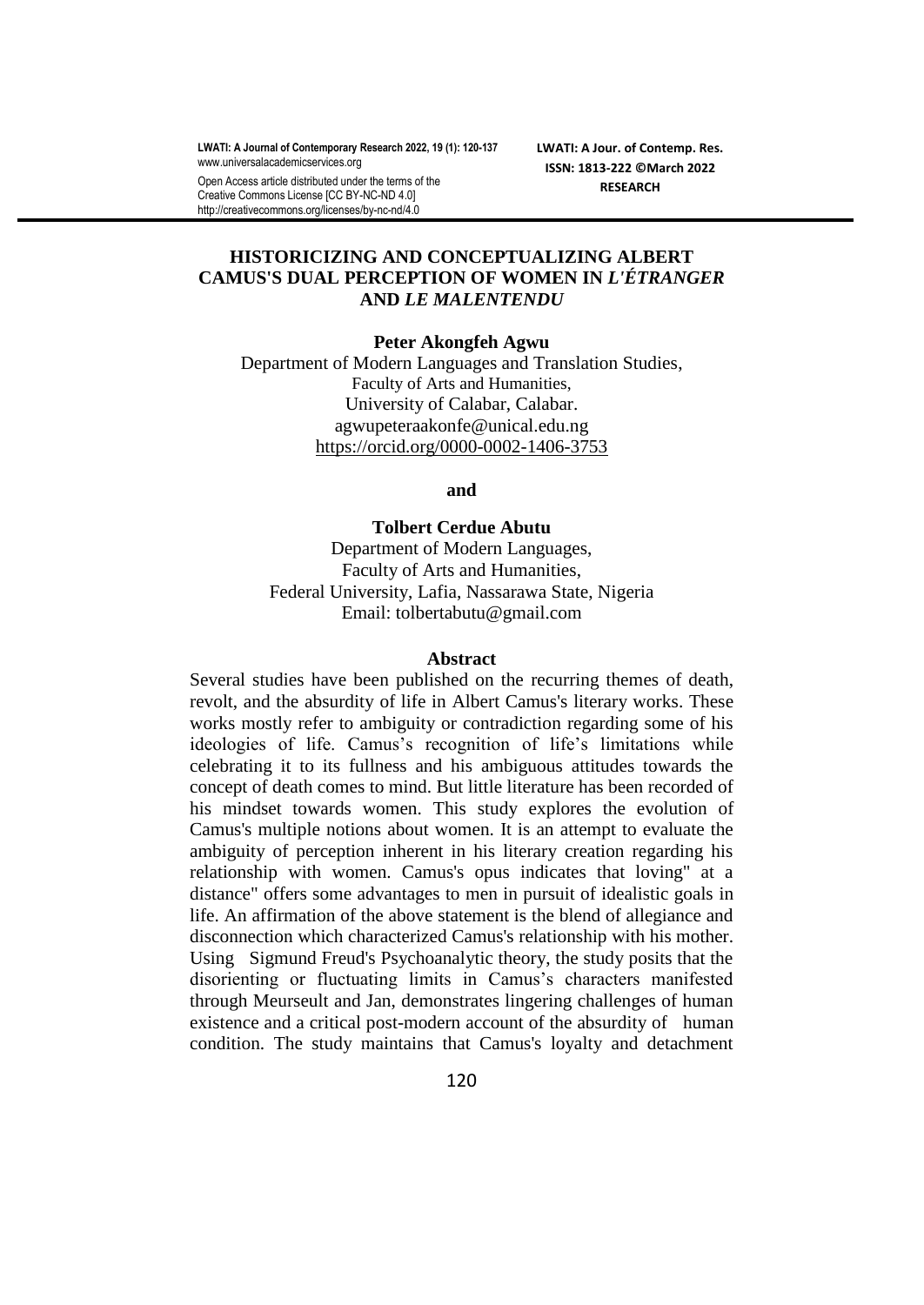**LWATI: A Journal of Contemporary Research 2022, 19 (1): 120-137** [www.universalacademicservices.org](http://www.universalacademicservices.org/)

Open Access article distributed under the terms of the Creative Commons License [CC BY-NC-ND 4.0] http://creativecommons.org/licenses/by-nc-nd/4.0

**LWATI: A Jour. of Contemp. Res. ISSN: 1813-222 ©March 2022 RESEARCH**

# **HISTORICIZING AND CONCEPTUALIZING ALBERT CAMUS'S DUAL PERCEPTION OF WOMEN IN** *L'ÉTRANGER* **AND** *LE MALENTENDU*

**Peter Akongfeh Agwu**

Department of Modern Languages and Translation Studies, Faculty of Arts and Humanities, University of Calabar, Calabar. agwupeteraakonfe@unical.edu.ng <https://orcid.org/0000-0002-1406-3753>

**and** 

**Tolbert Cerdue Abutu** Department of Modern Languages, Faculty of Arts and Humanities, Federal University, Lafia, Nassarawa State, Nigeria Email: tolbertabutu@gmail.com

#### **Abstract**

Several studies have been published on the recurring themes of death, revolt, and the absurdity of life in Albert Camus's literary works. These works mostly refer to ambiguity or contradiction regarding some of his ideologies of life. Camus's recognition of life's limitations while celebrating it to its fullness and his ambiguous attitudes towards the concept of death comes to mind. But little literature has been recorded of his mindset towards women. This study explores the evolution of Camus's multiple notions about women. It is an attempt to evaluate the ambiguity of perception inherent in his literary creation regarding his relationship with women. Camus's opus indicates that loving" at a distance" offers some advantages to men in pursuit of idealistic goals in life. An affirmation of the above statement is the blend of allegiance and disconnection which characterized Camus's relationship with his mother. Using Sigmund Freud's Psychoanalytic theory, the study posits that the disorienting or fluctuating limits in Camus's characters manifested through Meurseult and Jan, demonstrates lingering challenges of human existence and a critical post-modern account of the absurdity of human condition. The study maintains that Camus's loyalty and detachment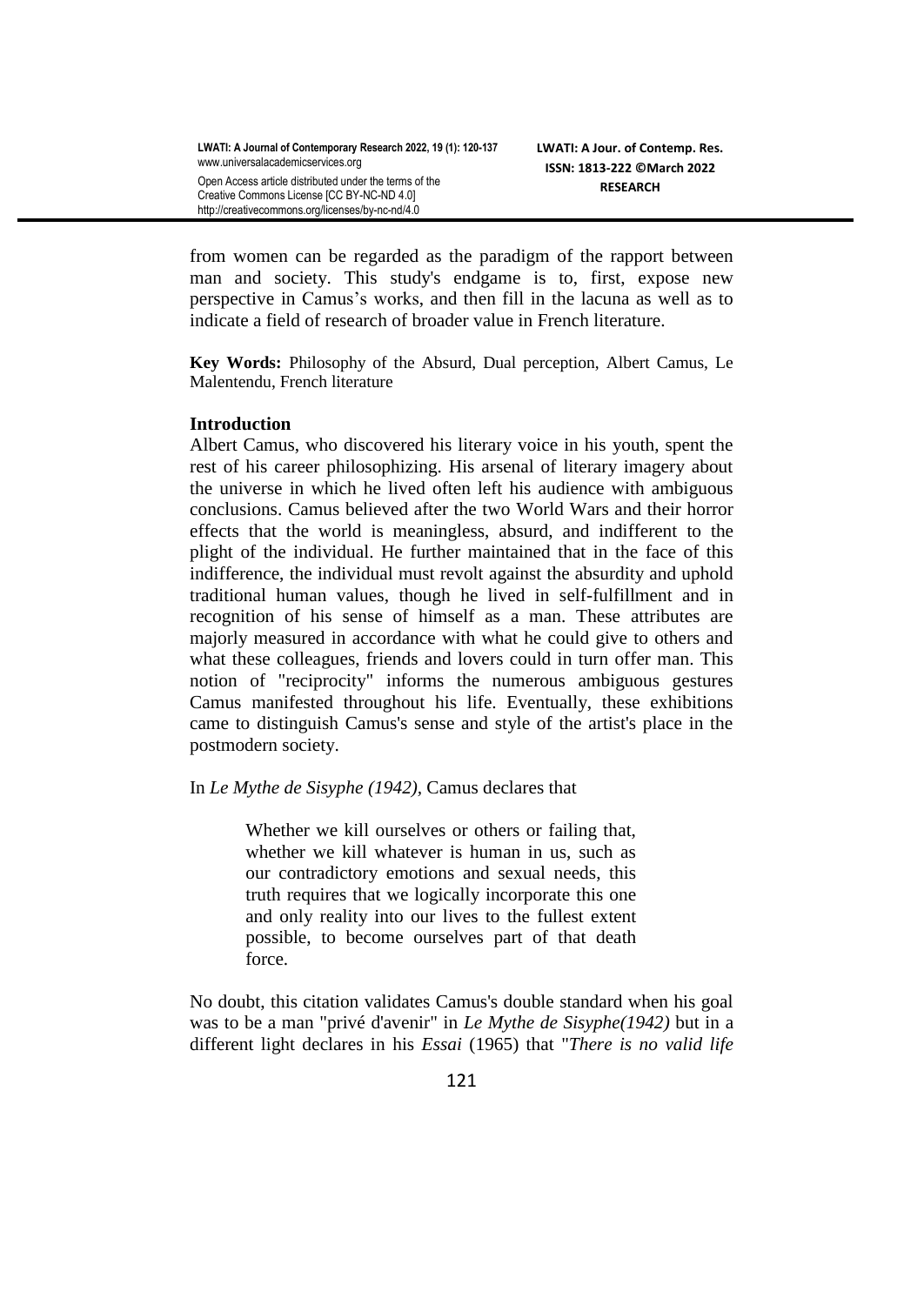from women can be regarded as the paradigm of the rapport between man and society. This study's endgame is to, first, expose new perspective in Camus's works, and then fill in the lacuna as well as to indicate a field of research of broader value in French literature.

**Key Words:** Philosophy of the Absurd, Dual perception, Albert Camus, Le Malentendu, French literature

## **Introduction**

Albert Camus, who discovered his literary voice in his youth, spent the rest of his career philosophizing. His arsenal of literary imagery about the universe in which he lived often left his audience with ambiguous conclusions. Camus believed after the two World Wars and their horror effects that the world is meaningless, absurd, and indifferent to the plight of the individual. He further maintained that in the face of this indifference, the individual must revolt against the absurdity and uphold traditional human values, though he lived in self-fulfillment and in recognition of his sense of himself as a man. These attributes are majorly measured in accordance with what he could give to others and what these colleagues, friends and lovers could in turn offer man. This notion of "reciprocity" informs the numerous ambiguous gestures Camus manifested throughout his life. Eventually, these exhibitions came to distinguish Camus's sense and style of the artist's place in the postmodern society.

### In *Le Mythe de Sisyphe (1942),* Camus declares that

Whether we kill ourselves or others or failing that, whether we kill whatever is human in us, such as our contradictory emotions and sexual needs, this truth requires that we logically incorporate this one and only reality into our lives to the fullest extent possible, to become ourselves part of that death force.

No doubt, this citation validates Camus's double standard when his goal was to be a man "privé d'avenir" in *Le Mythe de Sisyphe(1942)* but in a different light declares in his *Essai* (1965) that "*There is no valid life*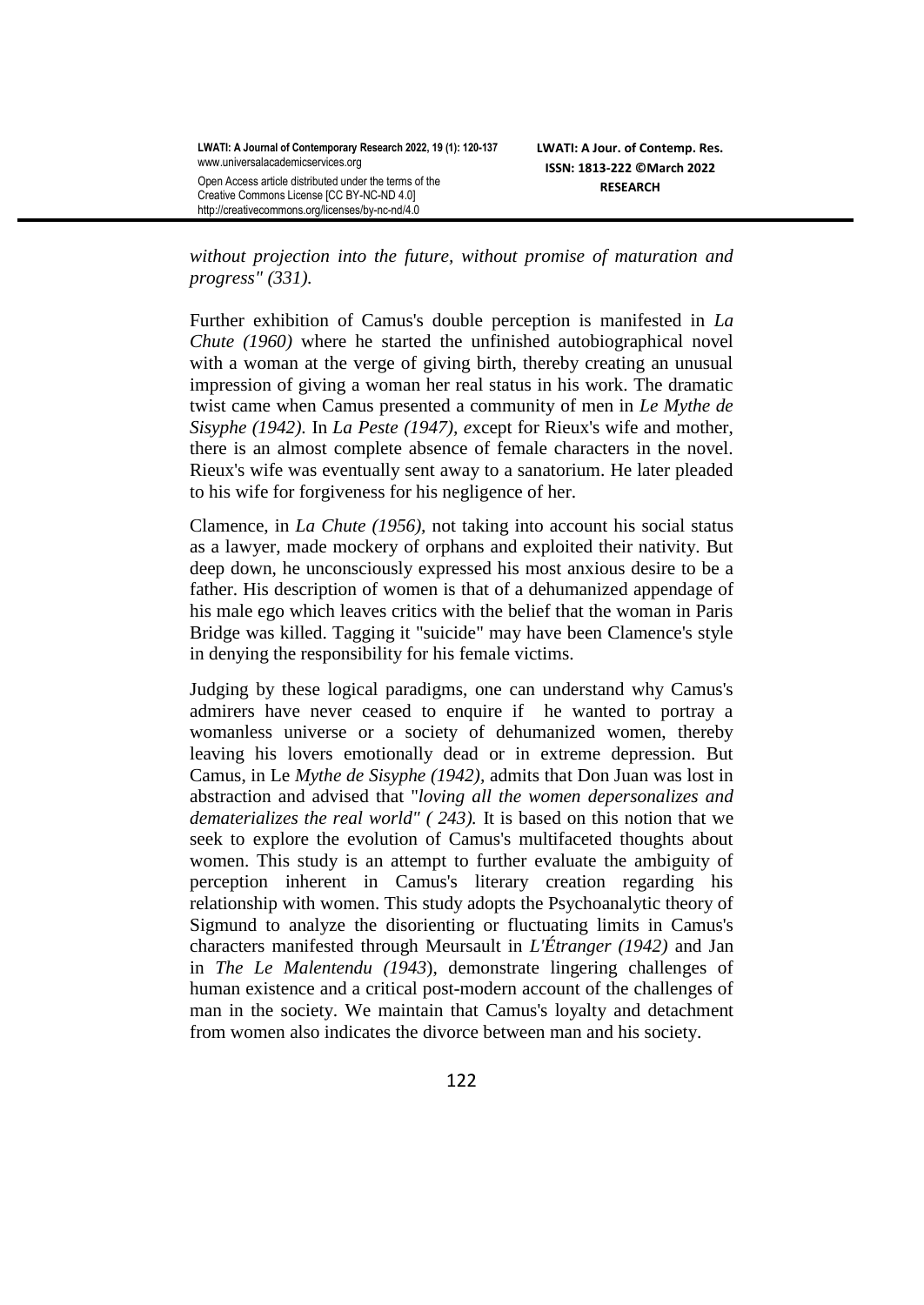*without projection into the future, without promise of maturation and progress" (331).* 

Further exhibition of Camus's double perception is manifested in *La Chute (1960)* where he started the unfinished autobiographical novel with a woman at the verge of giving birth, thereby creating an unusual impression of giving a woman her real status in his work. The dramatic twist came when Camus presented a community of men in *Le Mythe de Sisyphe (1942).* In *La Peste (1947), e*xcept for Rieux's wife and mother, there is an almost complete absence of female characters in the novel. Rieux's wife was eventually sent away to a sanatorium. He later pleaded to his wife for forgiveness for his negligence of her.

Clamence, in *La Chute (1956),* not taking into account his social status as a lawyer, made mockery of orphans and exploited their nativity. But deep down, he unconsciously expressed his most anxious desire to be a father. His description of women is that of a dehumanized appendage of his male ego which leaves critics with the belief that the woman in Paris Bridge was killed. Tagging it "suicide" may have been Clamence's style in denying the responsibility for his female victims.

Judging by these logical paradigms, one can understand why Camus's admirers have never ceased to enquire if he wanted to portray a womanless universe or a society of dehumanized women, thereby leaving his lovers emotionally dead or in extreme depression. But Camus, in Le *Mythe de Sisyphe (1942),* admits that Don Juan was lost in abstraction and advised that "*loving all the women depersonalizes and dematerializes the real world" ( 243).* It is based on this notion that we seek to explore the evolution of Camus's multifaceted thoughts about women. This study is an attempt to further evaluate the ambiguity of perception inherent in Camus's literary creation regarding his relationship with women. This study adopts the Psychoanalytic theory of Sigmund to analyze the disorienting or fluctuating limits in Camus's characters manifested through Meursault in *L'Étranger (1942)* and Jan in *The Le Malentendu (1943*), demonstrate lingering challenges of human existence and a critical post-modern account of the challenges of man in the society. We maintain that Camus's loyalty and detachment from women also indicates the divorce between man and his society.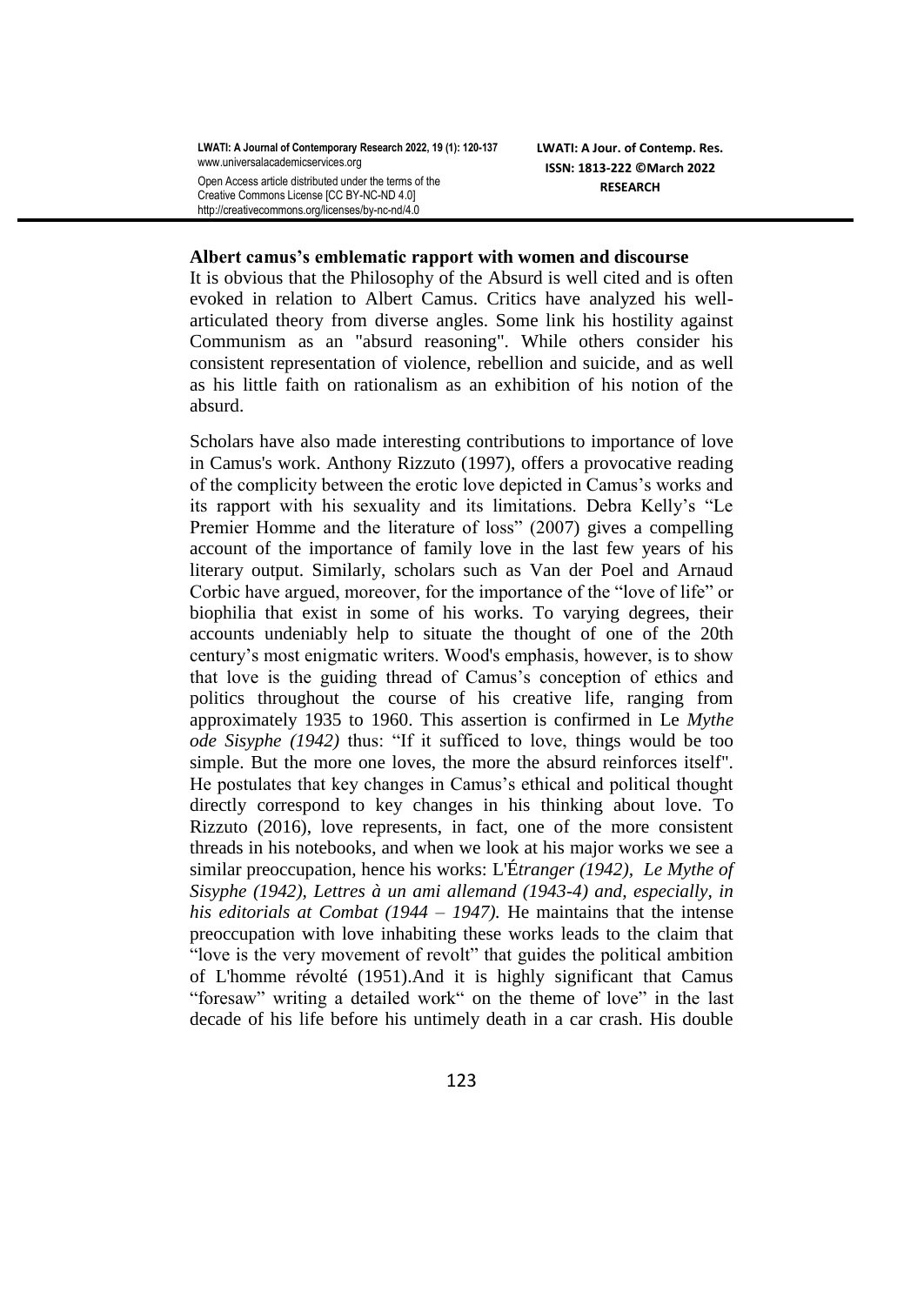**LWATI: A Journal of Contemporary Research 2022, 19 (1): 120-137** [www.universalacademicservices.org](http://www.universalacademicservices.org/)

Open Access article distributed under the terms of the Creative Commons License [CC BY-NC-ND 4.0] http://creativecommons.org/licenses/by-nc-nd/4.0

**LWATI: A Jour. of Contemp. Res. ISSN: 1813-222 ©March 2022 RESEARCH**

#### **Albert camus's emblematic rapport with women and discourse**

It is obvious that the Philosophy of the Absurd is well cited and is often evoked in relation to Albert Camus. Critics have analyzed his wellarticulated theory from diverse angles. Some link his hostility against Communism as an "absurd reasoning". While others consider his consistent representation of violence, rebellion and suicide, and as well as his little faith on rationalism as an exhibition of his notion of the absurd.

Scholars have also made interesting contributions to importance of love in Camus's work. Anthony Rizzuto (1997), offers a provocative reading of the complicity between the erotic love depicted in Camus's works and its rapport with his sexuality and its limitations. Debra Kelly's "Le Premier Homme and the literature of loss" (2007) gives a compelling account of the importance of family love in the last few years of his literary output. Similarly, scholars such as Van der Poel and Arnaud Corbic have argued, moreover, for the importance of the "love of life" or biophilia that exist in some of his works. To varying degrees, their accounts undeniably help to situate the thought of one of the 20th century's most enigmatic writers. Wood's emphasis, however, is to show that love is the guiding thread of Camus's conception of ethics and politics throughout the course of his creative life, ranging from approximately 1935 to 1960. This assertion is confirmed in Le *Mythe ode Sisyphe (1942)* thus: "If it sufficed to love, things would be too simple. But the more one loves, the more the absurd reinforces itself". He postulates that key changes in Camus's ethical and political thought directly correspond to key changes in his thinking about love. To Rizzuto (2016), love represents, in fact, one of the more consistent threads in his notebooks, and when we look at his major works we see a similar preoccupation, hence his works: L'É*tranger (1942), Le Mythe of Sisyphe (1942), Lettres à un ami allemand (1943-4) and, especially, in his editorials at Combat (1944 – 1947).* He maintains that the intense preoccupation with love inhabiting these works leads to the claim that "love is the very movement of revolt" that guides the political ambition of L'homme révolté (1951).And it is highly significant that Camus "foresaw" writing a detailed work" on the theme of love" in the last decade of his life before his untimely death in a car crash. His double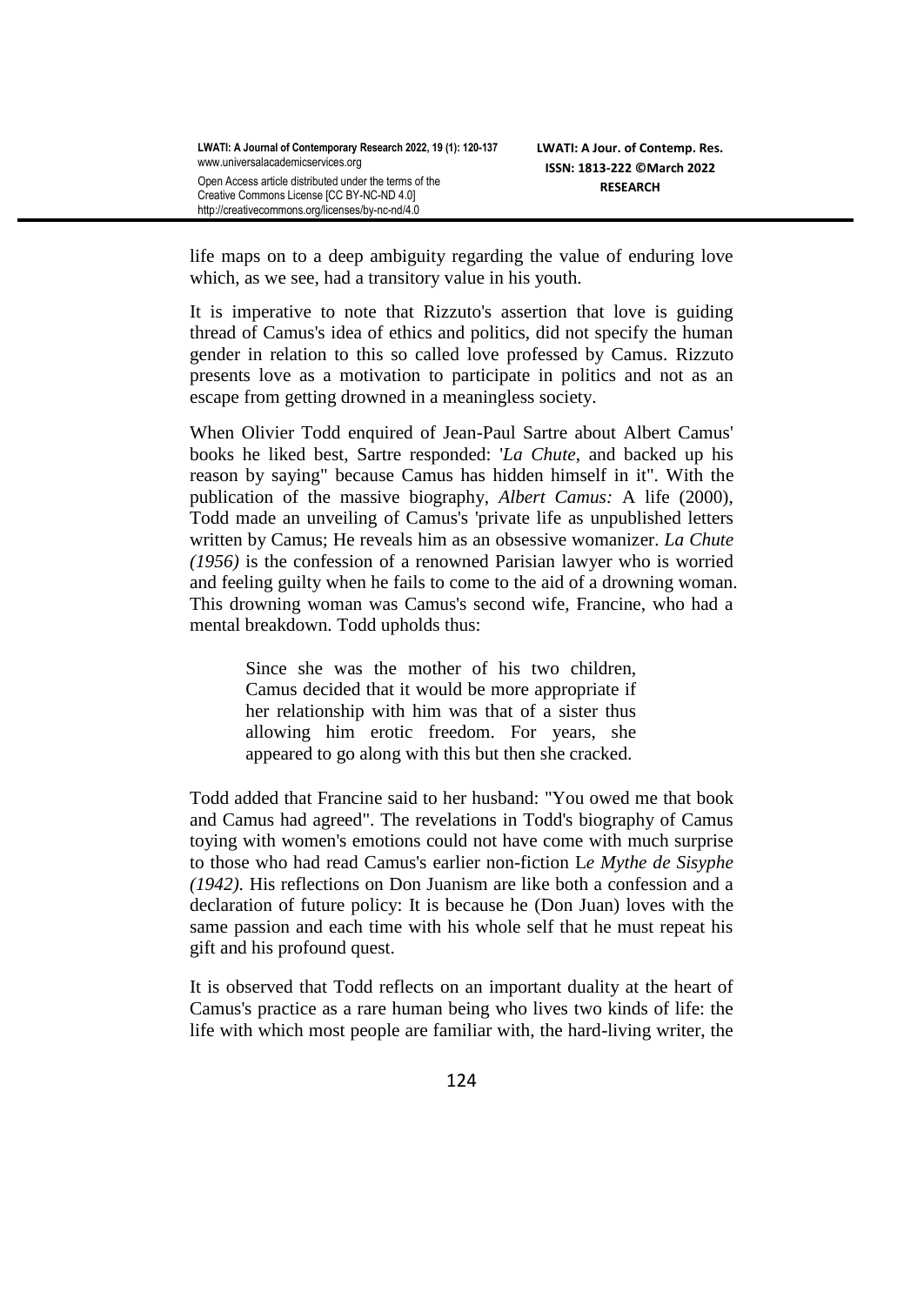life maps on to a deep ambiguity regarding the value of enduring love which, as we see, had a transitory value in his youth.

It is imperative to note that Rizzuto's assertion that love is guiding thread of Camus's idea of ethics and politics, did not specify the human gender in relation to this so called love professed by Camus. Rizzuto presents love as a motivation to participate in politics and not as an escape from getting drowned in a meaningless society.

When Olivier Todd enquired of Jean-Paul Sartre about Albert Camus' books he liked best, Sartre responded: '*La Chute*, and backed up his reason by saying" because Camus has hidden himself in it". With the publication of the massive biography, *Albert Camus:* A life (2000), Todd made an unveiling of Camus's 'private life as unpublished letters written by Camus; He reveals him as an obsessive womanizer. *La Chute (1956)* is the confession of a renowned Parisian lawyer who is worried and feeling guilty when he fails to come to the aid of a drowning woman. This drowning woman was Camus's second wife, Francine, who had a mental breakdown. Todd upholds thus:

> Since she was the mother of his two children, Camus decided that it would be more appropriate if her relationship with him was that of a sister thus allowing him erotic freedom. For years, she appeared to go along with this but then she cracked.

Todd added that Francine said to her husband: "You owed me that book and Camus had agreed". The revelations in Todd's biography of Camus toying with women's emotions could not have come with much surprise to those who had read Camus's earlier non-fiction L*e Mythe de Sisyphe (1942).* His reflections on Don Juanism are like both a confession and a declaration of future policy: It is because he (Don Juan) loves with the same passion and each time with his whole self that he must repeat his gift and his profound quest.

It is observed that Todd reflects on an important duality at the heart of Camus's practice as a rare human being who lives two kinds of life: the life with which most people are familiar with, the hard-living writer, the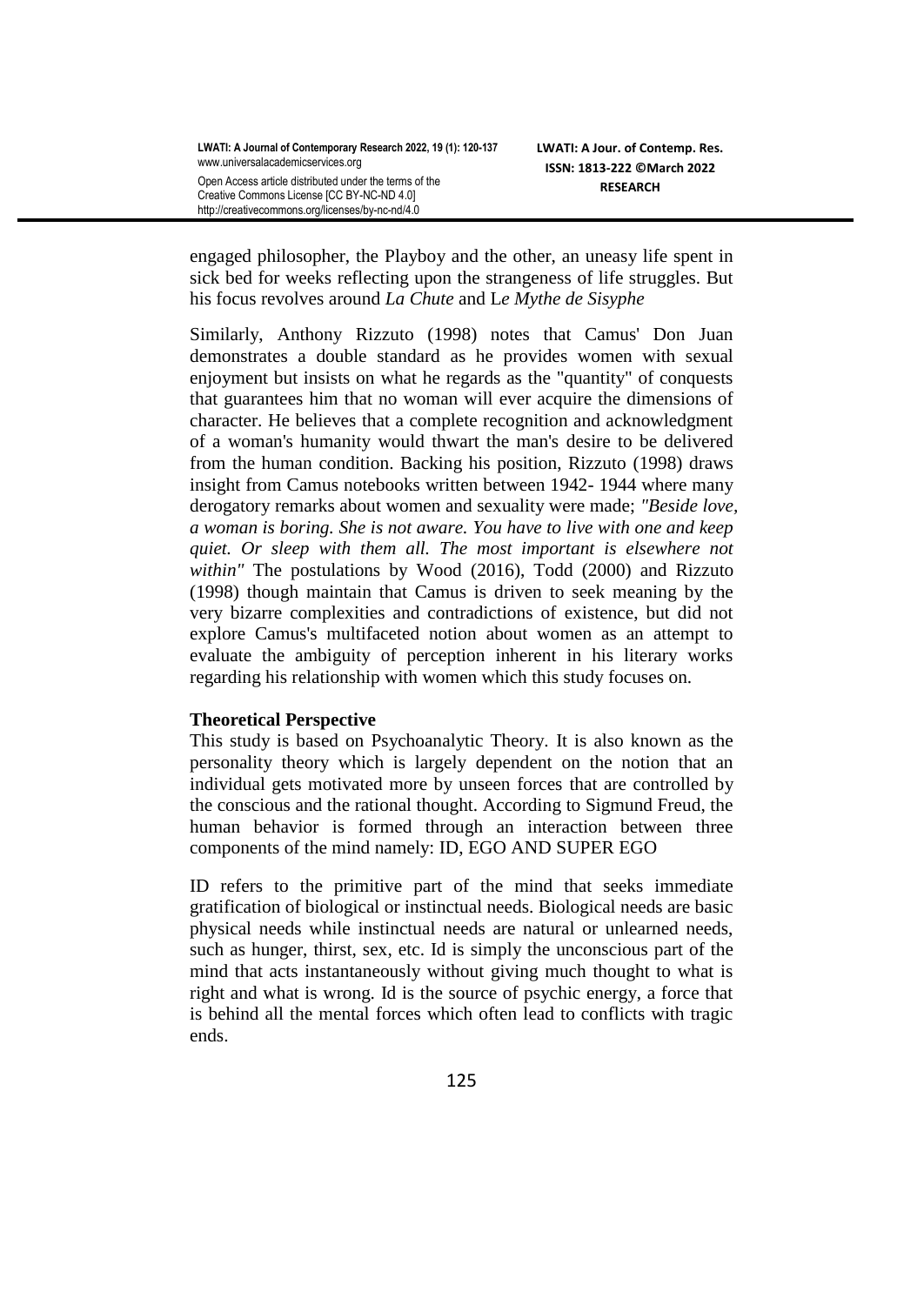**LWATI: A Journal of Contemporary Research 2022, 19 (1): 120-137** [www.universalacademicservices.org](http://www.universalacademicservices.org/) Open Access article distributed under the terms of the

Creative Commons License [CC BY-NC-ND 4.0] http://creativecommons.org/licenses/by-nc-nd/4.0

engaged philosopher, the Playboy and the other, an uneasy life spent in sick bed for weeks reflecting upon the strangeness of life struggles. But his focus revolves around *La Chute* and L*e Mythe de Sisyphe*

Similarly, Anthony Rizzuto (1998) notes that Camus' Don Juan demonstrates a double standard as he provides women with sexual enjoyment but insists on what he regards as the "quantity" of conquests that guarantees him that no woman will ever acquire the dimensions of character. He believes that a complete recognition and acknowledgment of a woman's humanity would thwart the man's desire to be delivered from the human condition. Backing his position, Rizzuto (1998) draws insight from Camus notebooks written between 1942- 1944 where many derogatory remarks about women and sexuality were made; *"Beside love, a woman is boring. She is not aware. You have to live with one and keep quiet. Or sleep with them all. The most important is elsewhere not within"* The postulations by Wood (2016), Todd (2000) and Rizzuto (1998) though maintain that Camus is driven to seek meaning by the very bizarre complexities and contradictions of existence, but did not explore Camus's multifaceted notion about women as an attempt to evaluate the ambiguity of perception inherent in his literary works regarding his relationship with women which this study focuses on.

### **Theoretical Perspective**

This study is based on Psychoanalytic Theory. It is also known as the personality theory which is largely dependent on the notion that an individual gets motivated more by unseen forces that are controlled by the conscious and the rational thought. According to Sigmund Freud, the human behavior is formed through an interaction between three components of the mind namely: ID, EGO AND SUPER EGO

ID refers to the primitive part of the mind that seeks immediate gratification of biological or instinctual needs. Biological needs are basic physical needs while instinctual needs are natural or unlearned needs, such as hunger, thirst, sex, etc. Id is simply the unconscious part of the mind that acts instantaneously without giving much thought to what is right and what is wrong. Id is the source of psychic energy, a force that is behind all the mental forces which often lead to conflicts with tragic ends.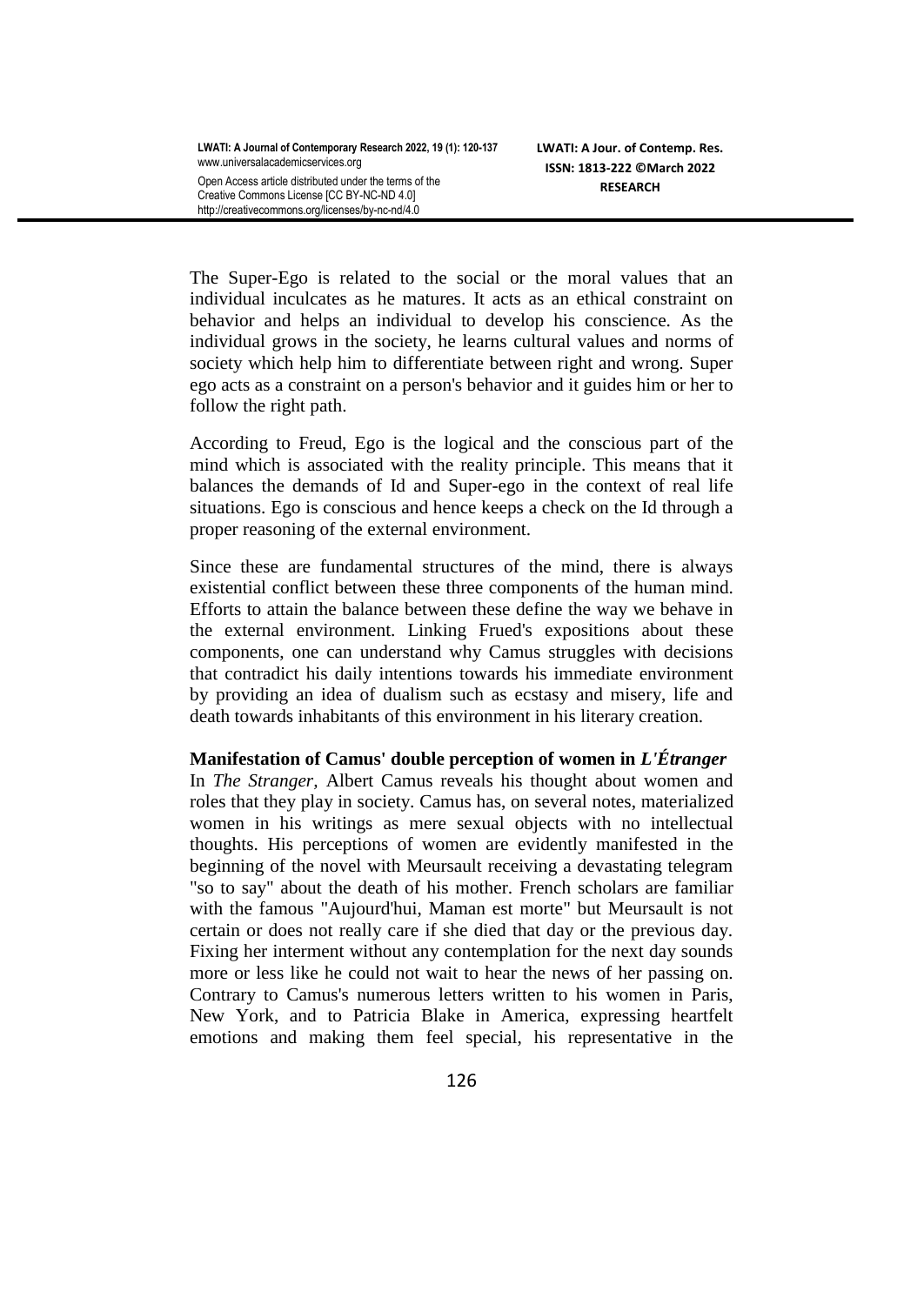**LWATI: A Journal of Contemporary Research 2022, 19 (1): 120-137** [www.universalacademicservices.org](http://www.universalacademicservices.org/)

Open Access article distributed under the terms of the Creative Commons License [CC BY-NC-ND 4.0] http://creativecommons.org/licenses/by-nc-nd/4.0

**LWATI: A Jour. of Contemp. Res. ISSN: 1813-222 ©March 2022 RESEARCH**

The Super-Ego is related to the social or the moral values that an individual inculcates as he matures. It acts as an ethical constraint on behavior and helps an individual to develop his conscience. As the individual grows in the society, he learns cultural values and norms of society which help him to differentiate between right and wrong. Super ego acts as a constraint on a person's behavior and it guides him or her to follow the right path.

According to Freud, Ego is the logical and the conscious part of the mind which is associated with the reality principle. This means that it balances the demands of Id and Super-ego in the context of real life situations. Ego is conscious and hence keeps a check on the Id through a proper reasoning of the external environment.

Since these are fundamental structures of the mind, there is always existential conflict between these three components of the human mind. Efforts to attain the balance between these define the way we behave in the external environment. Linking Frued's expositions about these components, one can understand why Camus struggles with decisions that contradict his daily intentions towards his immediate environment by providing an idea of dualism such as ecstasy and misery, life and death towards inhabitants of this environment in his literary creation.

#### **Manifestation of Camus' double perception of women in** *L'Étranger*

In *The Stranger,* Albert Camus reveals his thought about women and roles that they play in society. Camus has, on several notes, materialized women in his writings as mere sexual objects with no intellectual thoughts. His perceptions of women are evidently manifested in the beginning of the novel with Meursault receiving a devastating telegram "so to say" about the death of his mother. French scholars are familiar with the famous "Aujourd'hui, Maman est morte" but Meursault is not certain or does not really care if she died that day or the previous day. Fixing her interment without any contemplation for the next day sounds more or less like he could not wait to hear the news of her passing on. Contrary to Camus's numerous letters written to his women in Paris, New York, and to Patricia Blake in America, expressing heartfelt emotions and making them feel special, his representative in the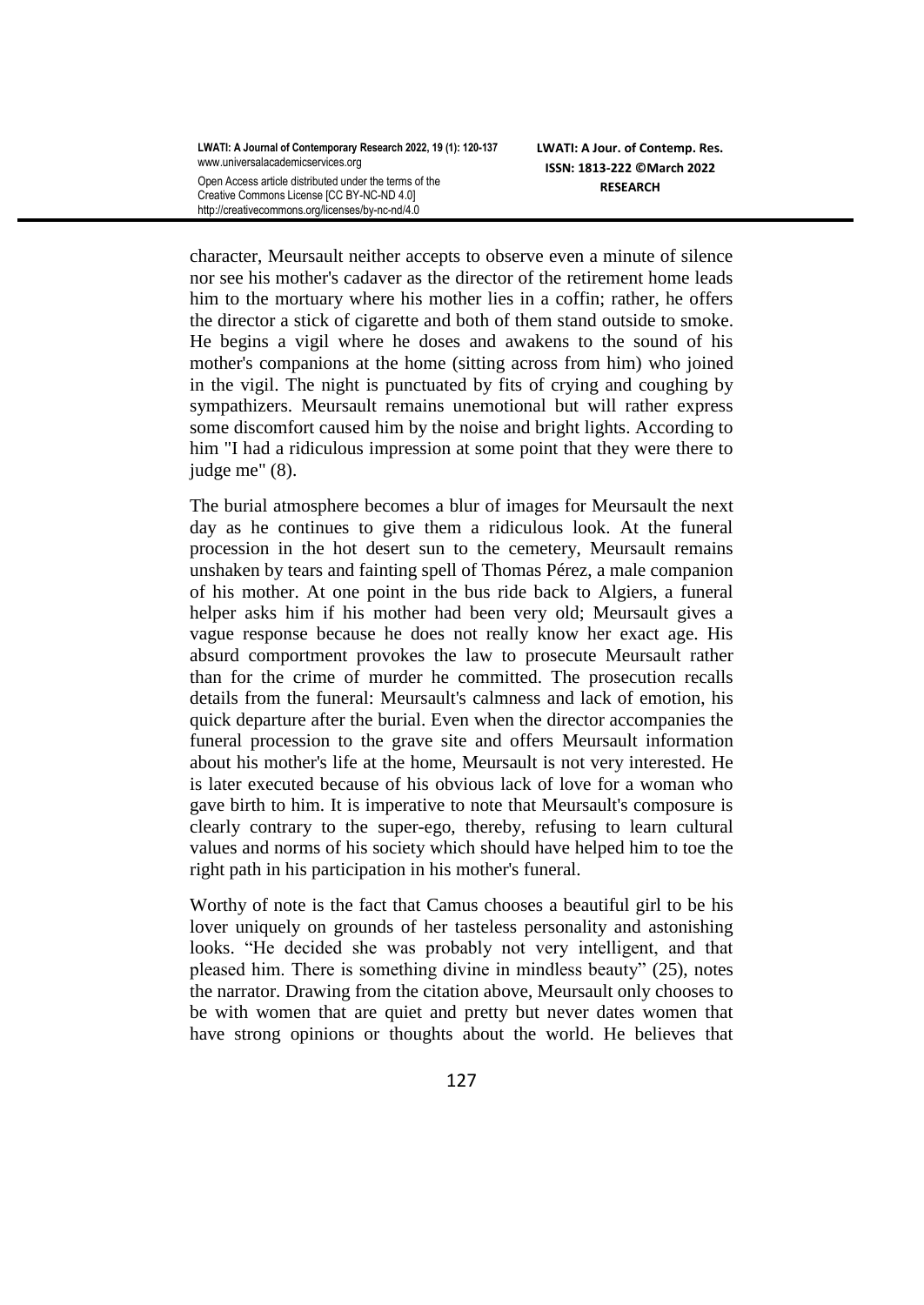**LWATI: A Journal of Contemporary Research 2022, 19 (1): 120-137** [www.universalacademicservices.org](http://www.universalacademicservices.org/) Open Access article distributed under the terms of the Creative Commons License [CC BY-NC-ND 4.0]

http://creativecommons.org/licenses/by-nc-nd/4.0

**LWATI: A Jour. of Contemp. Res. ISSN: 1813-222 ©March 2022 RESEARCH**

character, Meursault neither accepts to observe even a minute of silence nor see his mother's cadaver as the director of the retirement home leads him to the mortuary where his mother lies in a coffin; rather, he offers the director a stick of cigarette and both of them stand outside to smoke. He begins a vigil where he doses and awakens to the sound of his mother's companions at the home (sitting across from him) who joined in the vigil. The night is punctuated by fits of crying and coughing by sympathizers. Meursault remains unemotional but will rather express some discomfort caused him by the noise and bright lights. According to him "I had a ridiculous impression at some point that they were there to judge me" (8).

The burial atmosphere becomes a blur of images for Meursault the next day as he continues to give them a ridiculous look. At the funeral procession in the hot desert sun to the cemetery, Meursault remains unshaken by tears and fainting spell of Thomas Pérez, a male companion of his mother. At one point in the bus ride back to Algiers, a funeral helper asks him if his mother had been very old; Meursault gives a vague response because he does not really know her exact age. His absurd comportment provokes the law to prosecute Meursault rather than for the crime of murder he committed. The prosecution recalls details from the funeral: Meursault's calmness and lack of emotion, his quick departure after the burial. Even when the director accompanies the funeral procession to the grave site and offers Meursault information about his mother's life at the home, Meursault is not very interested. He is later executed because of his obvious lack of love for a woman who gave birth to him. It is imperative to note that Meursault's composure is clearly contrary to the super-ego, thereby, refusing to learn cultural values and norms of his society which should have helped him to toe the right path in his participation in his mother's funeral.

Worthy of note is the fact that Camus chooses a beautiful girl to be his lover uniquely on grounds of her tasteless personality and astonishing looks. "He decided she was probably not very intelligent, and that pleased him. There is something divine in mindless beauty" (25), notes the narrator. Drawing from the citation above, Meursault only chooses to be with women that are quiet and pretty but never dates women that have strong opinions or thoughts about the world. He believes that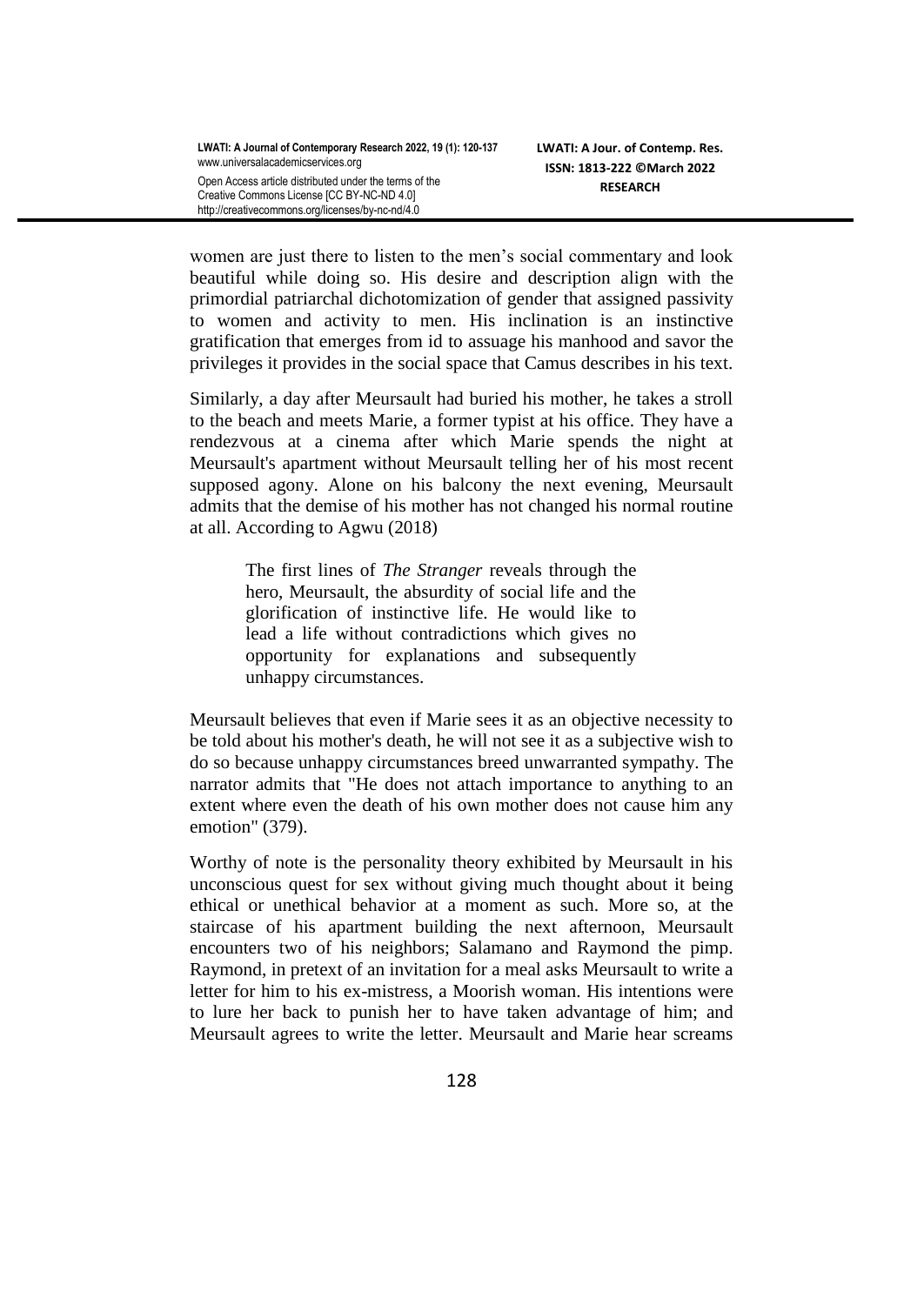women are just there to listen to the men's social commentary and look beautiful while doing so. His desire and description align with the primordial patriarchal dichotomization of gender that assigned passivity to women and activity to men. His inclination is an instinctive gratification that emerges from id to assuage his manhood and savor the privileges it provides in the social space that Camus describes in his text.

Similarly, a day after Meursault had buried his mother, he takes a stroll to the beach and meets Marie, a former typist at his office. They have a rendezvous at a cinema after which Marie spends the night at Meursault's apartment without Meursault telling her of his most recent supposed agony. Alone on his balcony the next evening, Meursault admits that the demise of his mother has not changed his normal routine at all. According to Agwu (2018)

> The first lines of *The Stranger* reveals through the hero, Meursault, the absurdity of social life and the glorification of instinctive life. He would like to lead a life without contradictions which gives no opportunity for explanations and subsequently unhappy circumstances.

Meursault believes that even if Marie sees it as an objective necessity to be told about his mother's death, he will not see it as a subjective wish to do so because unhappy circumstances breed unwarranted sympathy. The narrator admits that "He does not attach importance to anything to an extent where even the death of his own mother does not cause him any emotion" (379).

Worthy of note is the personality theory exhibited by Meursault in his unconscious quest for sex without giving much thought about it being ethical or unethical behavior at a moment as such. More so, at the staircase of his apartment building the next afternoon, Meursault encounters two of his neighbors; Salamano and Raymond the pimp. Raymond, in pretext of an invitation for a meal asks Meursault to write a letter for him to his ex-mistress, a Moorish woman. His intentions were to lure her back to punish her to have taken advantage of him; and Meursault agrees to write the letter. Meursault and Marie hear screams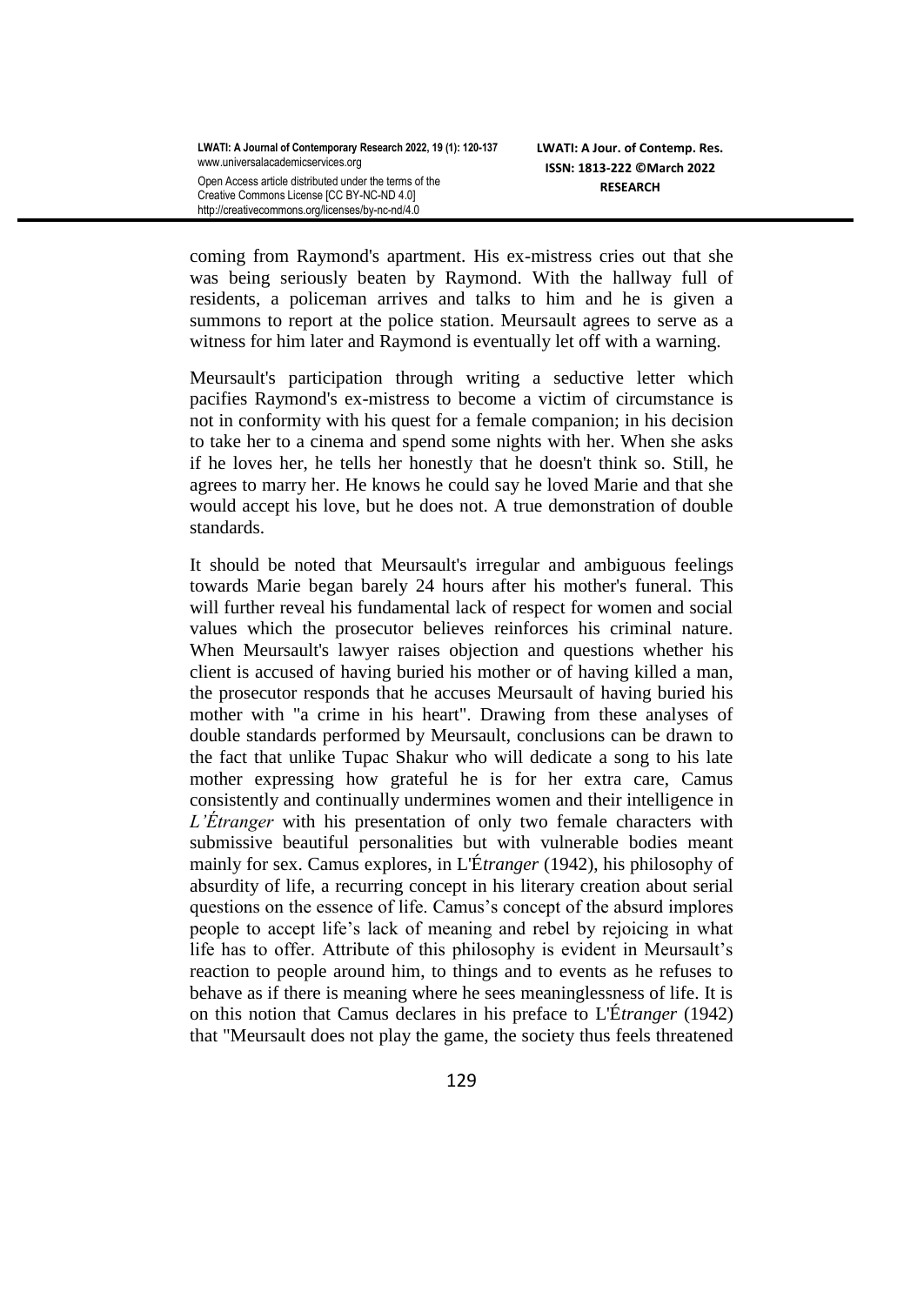coming from Raymond's apartment. His ex-mistress cries out that she was being seriously beaten by Raymond. With the hallway full of residents, a policeman arrives and talks to him and he is given a summons to report at the police station. Meursault agrees to serve as a witness for him later and Raymond is eventually let off with a warning.

Meursault's participation through writing a seductive letter which pacifies Raymond's ex-mistress to become a victim of circumstance is not in conformity with his quest for a female companion; in his decision to take her to a cinema and spend some nights with her. When she asks if he loves her, he tells her honestly that he doesn't think so. Still, he agrees to marry her. He knows he could say he loved Marie and that she would accept his love, but he does not. A true demonstration of double standards.

It should be noted that Meursault's irregular and ambiguous feelings towards Marie began barely 24 hours after his mother's funeral. This will further reveal his fundamental lack of respect for women and social values which the prosecutor believes reinforces his criminal nature. When Meursault's lawyer raises objection and questions whether his client is accused of having buried his mother or of having killed a man, the prosecutor responds that he accuses Meursault of having buried his mother with "a crime in his heart". Drawing from these analyses of double standards performed by Meursault, conclusions can be drawn to the fact that unlike Tupac Shakur who will dedicate a song to his late mother expressing how grateful he is for her extra care, Camus consistently and continually undermines women and their intelligence in *L'Étranger* with his presentation of only two female characters with submissive beautiful personalities but with vulnerable bodies meant mainly for sex. Camus explores, in L'É*tranger* (1942), his philosophy of absurdity of life, a recurring concept in his literary creation about serial questions on the essence of life. Camus's concept of the absurd implores people to accept life's lack of meaning and rebel by rejoicing in what life has to offer. Attribute of this philosophy is evident in Meursault's reaction to people around him, to things and to events as he refuses to behave as if there is meaning where he sees meaninglessness of life. It is on this notion that Camus declares in his preface to L'É*tranger* (1942) that "Meursault does not play the game, the society thus feels threatened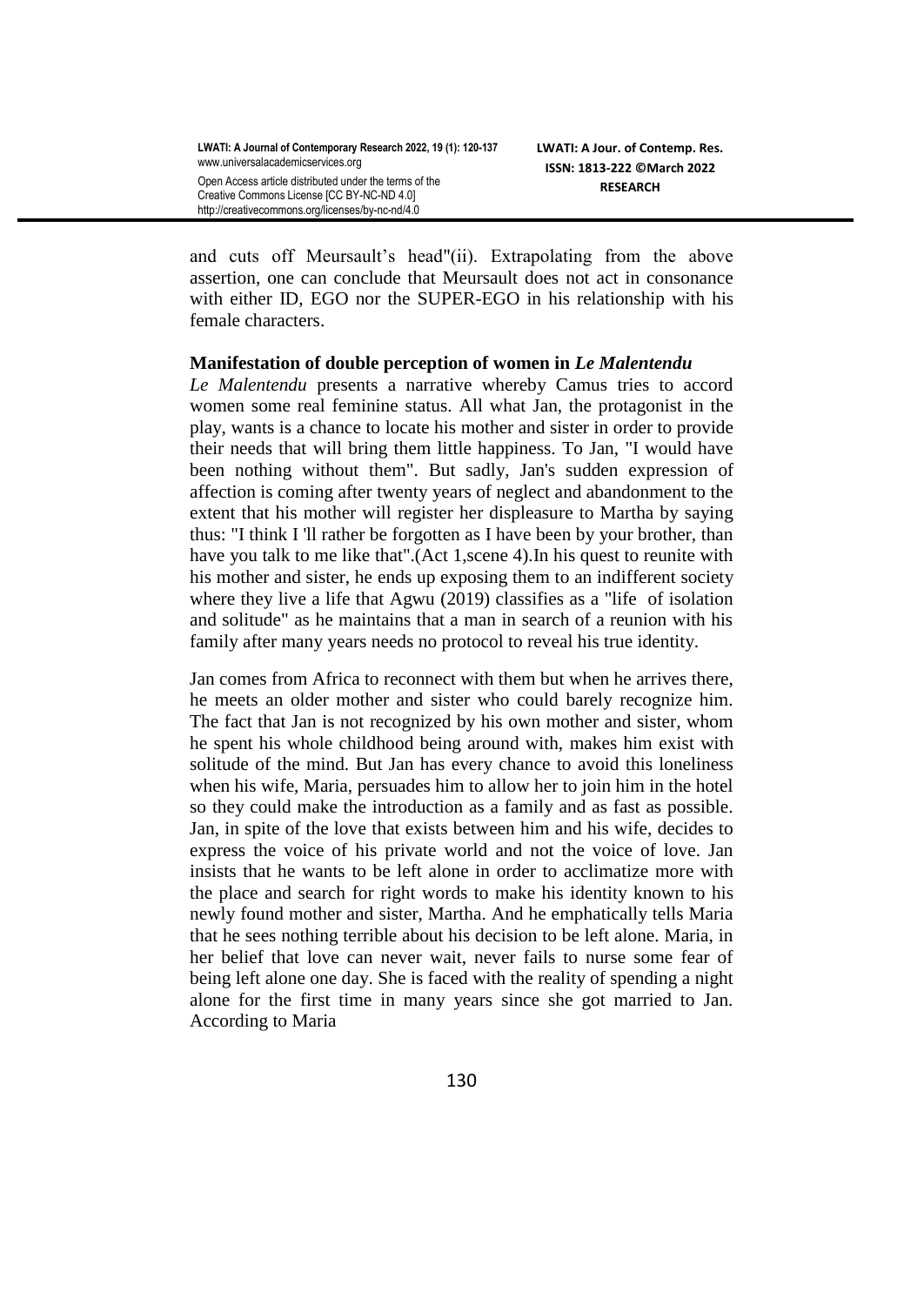and cuts off Meursault's head"(ii). Extrapolating from the above assertion, one can conclude that Meursault does not act in consonance with either ID, EGO nor the SUPER-EGO in his relationship with his female characters.

### **Manifestation of double perception of women in** *Le Malentendu*

*Le Malentendu* presents a narrative whereby Camus tries to accord women some real feminine status. All what Jan, the protagonist in the play, wants is a chance to locate his mother and sister in order to provide their needs that will bring them little happiness. To Jan, "I would have been nothing without them". But sadly, Jan's sudden expression of affection is coming after twenty years of neglect and abandonment to the extent that his mother will register her displeasure to Martha by saying thus: "I think I 'll rather be forgotten as I have been by your brother, than have you talk to me like that".(Act 1,scene 4).In his quest to reunite with his mother and sister, he ends up exposing them to an indifferent society where they live a life that Agwu (2019) classifies as a "life of isolation and solitude" as he maintains that a man in search of a reunion with his family after many years needs no protocol to reveal his true identity.

Jan comes from Africa to reconnect with them but when he arrives there, he meets an older mother and sister who could barely recognize him. The fact that Jan is not recognized by his own mother and sister, whom he spent his whole childhood being around with, makes him exist with solitude of the mind. But Jan has every chance to avoid this loneliness when his wife, Maria, persuades him to allow her to join him in the hotel so they could make the introduction as a family and as fast as possible. Jan, in spite of the love that exists between him and his wife, decides to express the voice of his private world and not the voice of love. Jan insists that he wants to be left alone in order to acclimatize more with the place and search for right words to make his identity known to his newly found mother and sister, Martha. And he emphatically tells Maria that he sees nothing terrible about his decision to be left alone. Maria, in her belief that love can never wait, never fails to nurse some fear of being left alone one day. She is faced with the reality of spending a night alone for the first time in many years since she got married to Jan. According to Maria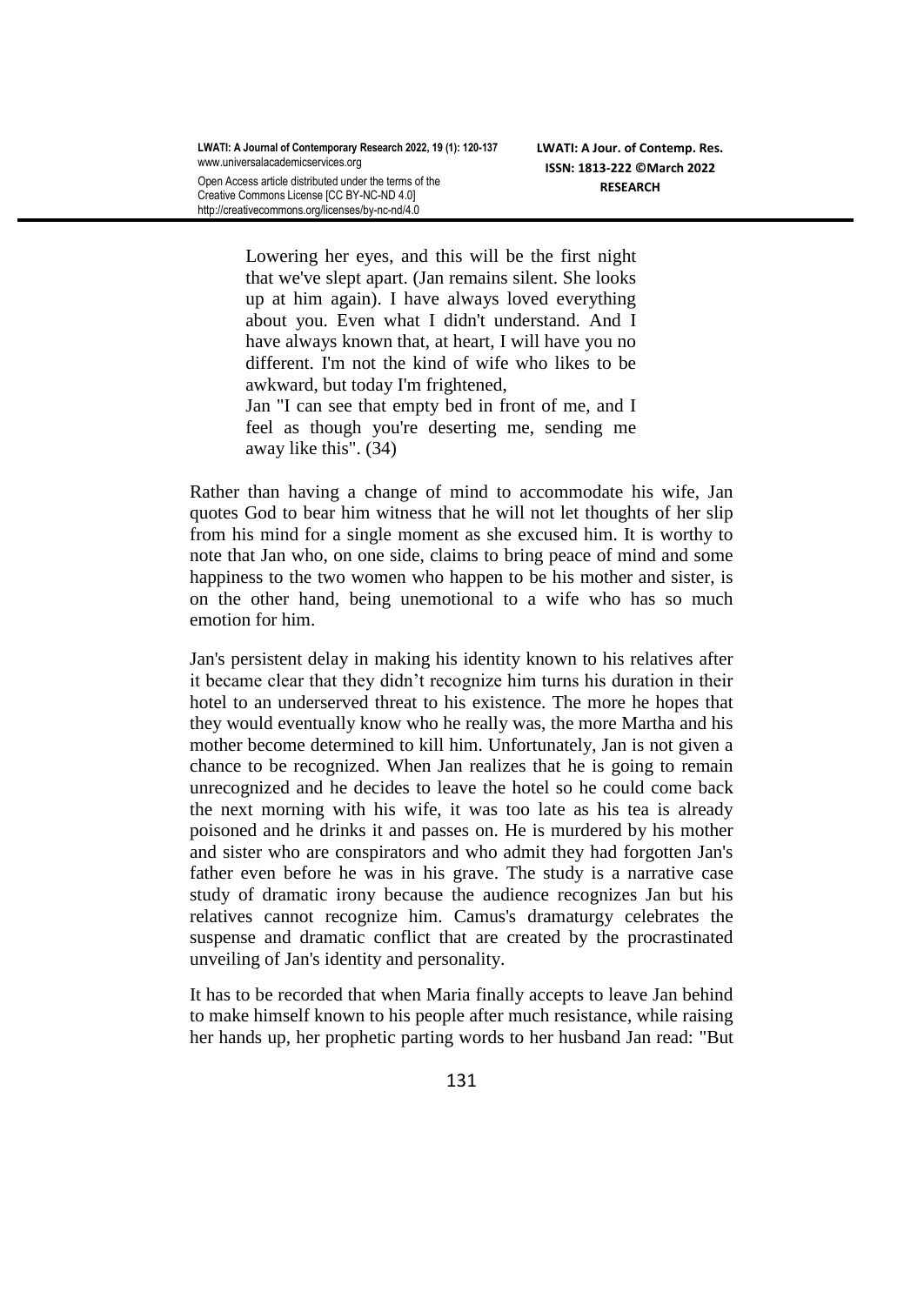Lowering her eyes, and this will be the first night that we've slept apart. (Jan remains silent. She looks up at him again). I have always loved everything about you. Even what I didn't understand. And I have always known that, at heart, I will have you no different. I'm not the kind of wife who likes to be awkward, but today I'm frightened,

Jan "I can see that empty bed in front of me, and I feel as though you're deserting me, sending me away like this". (34)

Rather than having a change of mind to accommodate his wife, Jan quotes God to bear him witness that he will not let thoughts of her slip from his mind for a single moment as she excused him. It is worthy to note that Jan who, on one side, claims to bring peace of mind and some happiness to the two women who happen to be his mother and sister, is on the other hand, being unemotional to a wife who has so much emotion for him.

Jan's persistent delay in making his identity known to his relatives after it became clear that they didn't recognize him turns his duration in their hotel to an underserved threat to his existence. The more he hopes that they would eventually know who he really was, the more Martha and his mother become determined to kill him. Unfortunately, Jan is not given a chance to be recognized. When Jan realizes that he is going to remain unrecognized and he decides to leave the hotel so he could come back the next morning with his wife, it was too late as his tea is already poisoned and he drinks it and passes on. He is murdered by his mother and sister who are conspirators and who admit they had forgotten Jan's father even before he was in his grave. The study is a narrative case study of dramatic irony because the audience recognizes Jan but his relatives cannot recognize him. Camus's dramaturgy celebrates the suspense and dramatic conflict that are created by the procrastinated unveiling of Jan's identity and personality.

It has to be recorded that when Maria finally accepts to leave Jan behind to make himself known to his people after much resistance, while raising her hands up, her prophetic parting words to her husband Jan read: "But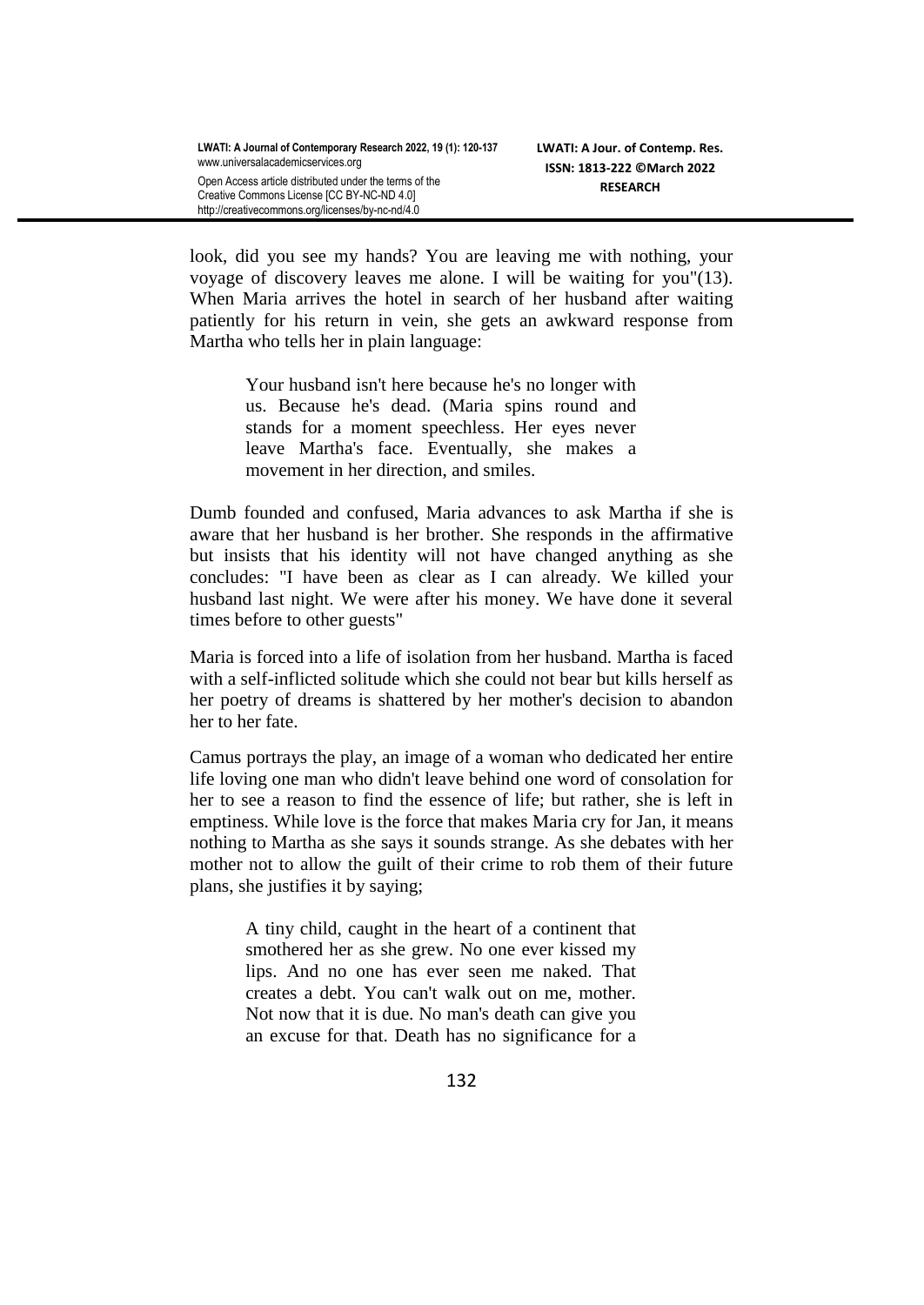look, did you see my hands? You are leaving me with nothing, your voyage of discovery leaves me alone. I will be waiting for you"(13). When Maria arrives the hotel in search of her husband after waiting patiently for his return in vein, she gets an awkward response from Martha who tells her in plain language:

> Your husband isn't here because he's no longer with us. Because he's dead. (Maria spins round and stands for a moment speechless. Her eyes never leave Martha's face. Eventually, she makes a movement in her direction, and smiles.

Dumb founded and confused, Maria advances to ask Martha if she is aware that her husband is her brother. She responds in the affirmative but insists that his identity will not have changed anything as she concludes: "I have been as clear as I can already. We killed your husband last night. We were after his money. We have done it several times before to other guests"

Maria is forced into a life of isolation from her husband. Martha is faced with a self-inflicted solitude which she could not bear but kills herself as her poetry of dreams is shattered by her mother's decision to abandon her to her fate.

Camus portrays the play, an image of a woman who dedicated her entire life loving one man who didn't leave behind one word of consolation for her to see a reason to find the essence of life; but rather, she is left in emptiness. While love is the force that makes Maria cry for Jan, it means nothing to Martha as she says it sounds strange. As she debates with her mother not to allow the guilt of their crime to rob them of their future plans, she justifies it by saying;

> A tiny child, caught in the heart of a continent that smothered her as she grew. No one ever kissed my lips. And no one has ever seen me naked. That creates a debt. You can't walk out on me, mother. Not now that it is due. No man's death can give you an excuse for that. Death has no significance for a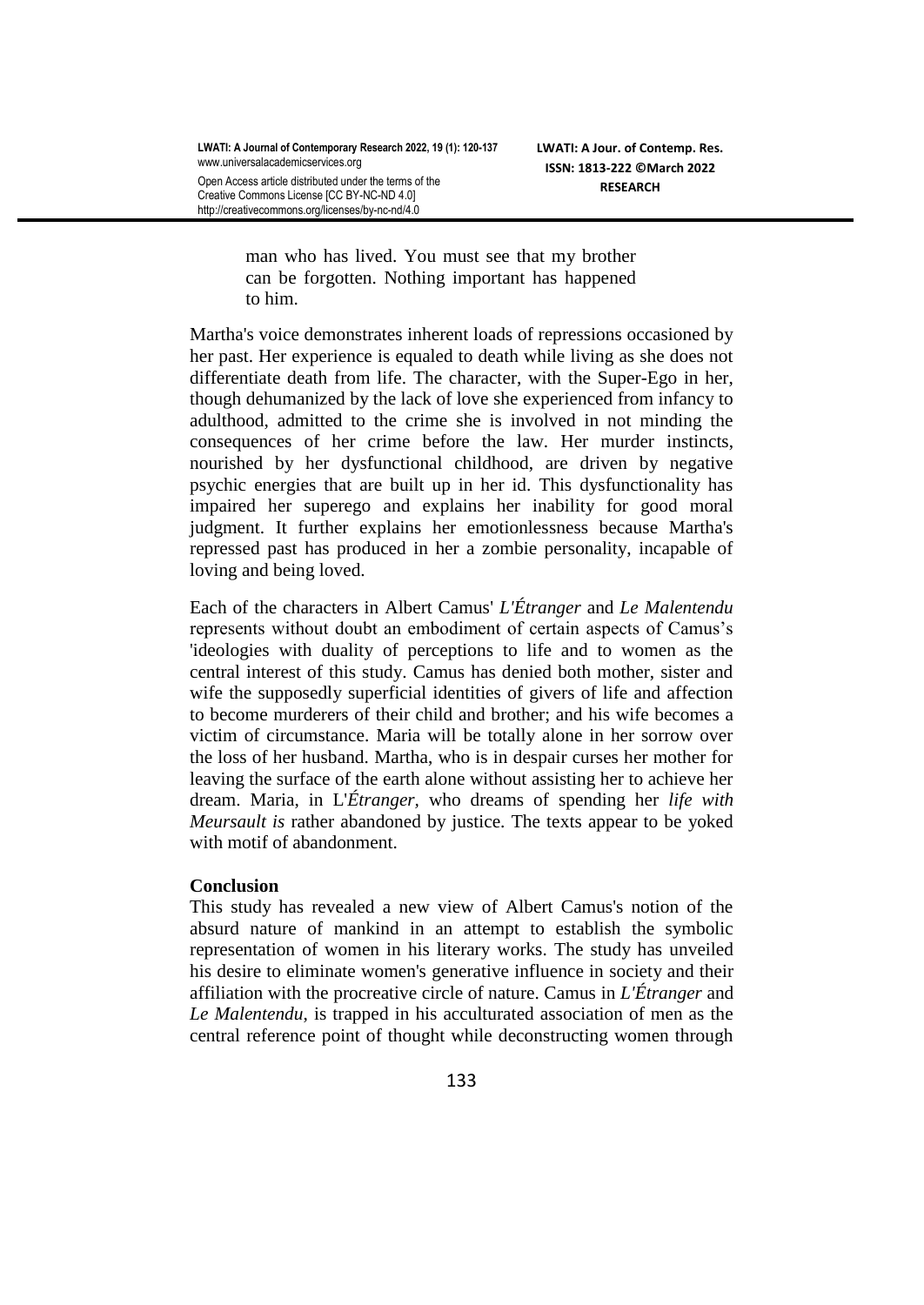Open Access article distributed under the terms of the Creative Commons License [CC BY-NC-ND 4.0] http://creativecommons.org/licenses/by-nc-nd/4.0

> man who has lived. You must see that my brother can be forgotten. Nothing important has happened to him.

Martha's voice demonstrates inherent loads of repressions occasioned by her past. Her experience is equaled to death while living as she does not differentiate death from life. The character, with the Super-Ego in her, though dehumanized by the lack of love she experienced from infancy to adulthood, admitted to the crime she is involved in not minding the consequences of her crime before the law. Her murder instincts, nourished by her dysfunctional childhood, are driven by negative psychic energies that are built up in her id. This dysfunctionality has impaired her superego and explains her inability for good moral judgment. It further explains her emotionlessness because Martha's repressed past has produced in her a zombie personality, incapable of loving and being loved.

Each of the characters in Albert Camus' *L'Étranger* and *Le Malentendu*  represents without doubt an embodiment of certain aspects of Camus's 'ideologies with duality of perceptions to life and to women as the central interest of this study. Camus has denied both mother, sister and wife the supposedly superficial identities of givers of life and affection to become murderers of their child and brother; and his wife becomes a victim of circumstance. Maria will be totally alone in her sorrow over the loss of her husband. Martha, who is in despair curses her mother for leaving the surface of the earth alone without assisting her to achieve her dream. Maria, in L'*Étranger,* who dreams of spending her *life with Meursault is* rather abandoned by justice. The texts appear to be yoked with motif of abandonment.

### **Conclusion**

This study has revealed a new view of Albert Camus's notion of the absurd nature of mankind in an attempt to establish the symbolic representation of women in his literary works. The study has unveiled his desire to eliminate women's generative influence in society and their affiliation with the procreative circle of nature. Camus in *L'Étranger* and *Le Malentendu*, is trapped in his acculturated association of men as the central reference point of thought while deconstructing women through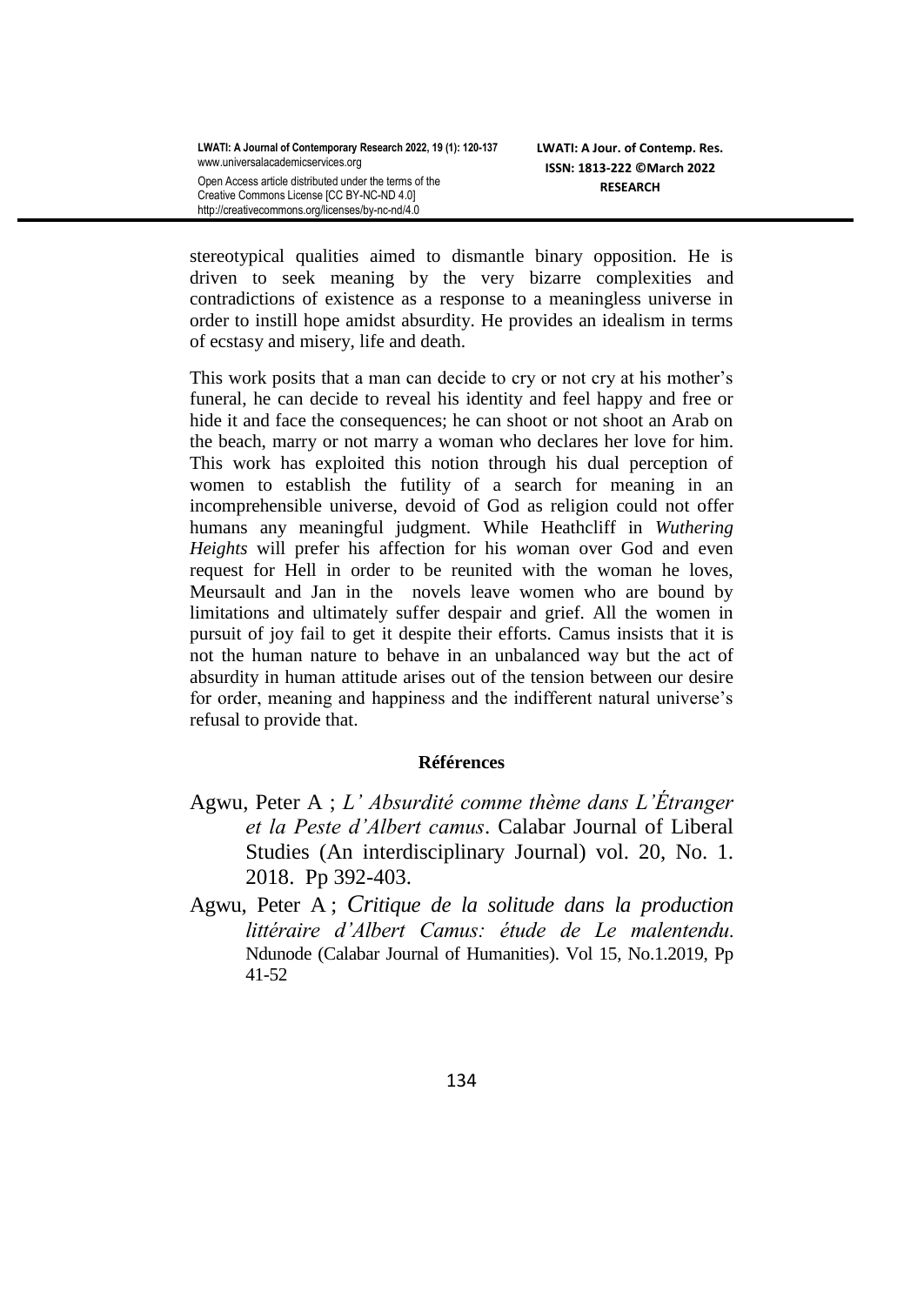stereotypical qualities aimed to dismantle binary opposition. He is driven to seek meaning by the very bizarre complexities and contradictions of existence as a response to a meaningless universe in order to instill hope amidst absurdity. He provides an idealism in terms of ecstasy and misery, life and death.

This work posits that a man can decide to cry or not cry at his mother's funeral, he can decide to reveal his identity and feel happy and free or hide it and face the consequences; he can shoot or not shoot an Arab on the beach, marry or not marry a woman who declares her love for him. This work has exploited this notion through his dual perception of women to establish the futility of a search for meaning in an incomprehensible universe, devoid of God as religion could not offer humans any meaningful judgment. While Heathcliff in *Wuthering Heights* will prefer his affection for his *wo*man over God and even request for Hell in order to be reunited with the woman he loves, Meursault and Jan in the novels leave women who are bound by limitations and ultimately suffer despair and grief. All the women in pursuit of joy fail to get it despite their efforts. Camus insists that it is not the human nature to behave in an unbalanced way but the act of absurdity in human attitude arises out of the tension between our desire for order, meaning and happiness and the indifferent natural universe's refusal to provide that.

## **Références**

- Agwu, Peter A ; *L' Absurdité comme thème dans L'Étranger et la Peste d'Albert camus*. Calabar Journal of Liberal Studies (An interdisciplinary Journal) vol. 20, No. 1. 2018. Pp 392-403.
- Agwu, Peter A ; *Critique de la solitude dans la production littéraire d'Albert Camus: étude de Le malentendu.* Ndunode (Calabar Journal of Humanities). Vol 15, No.1.2019, Pp 41-52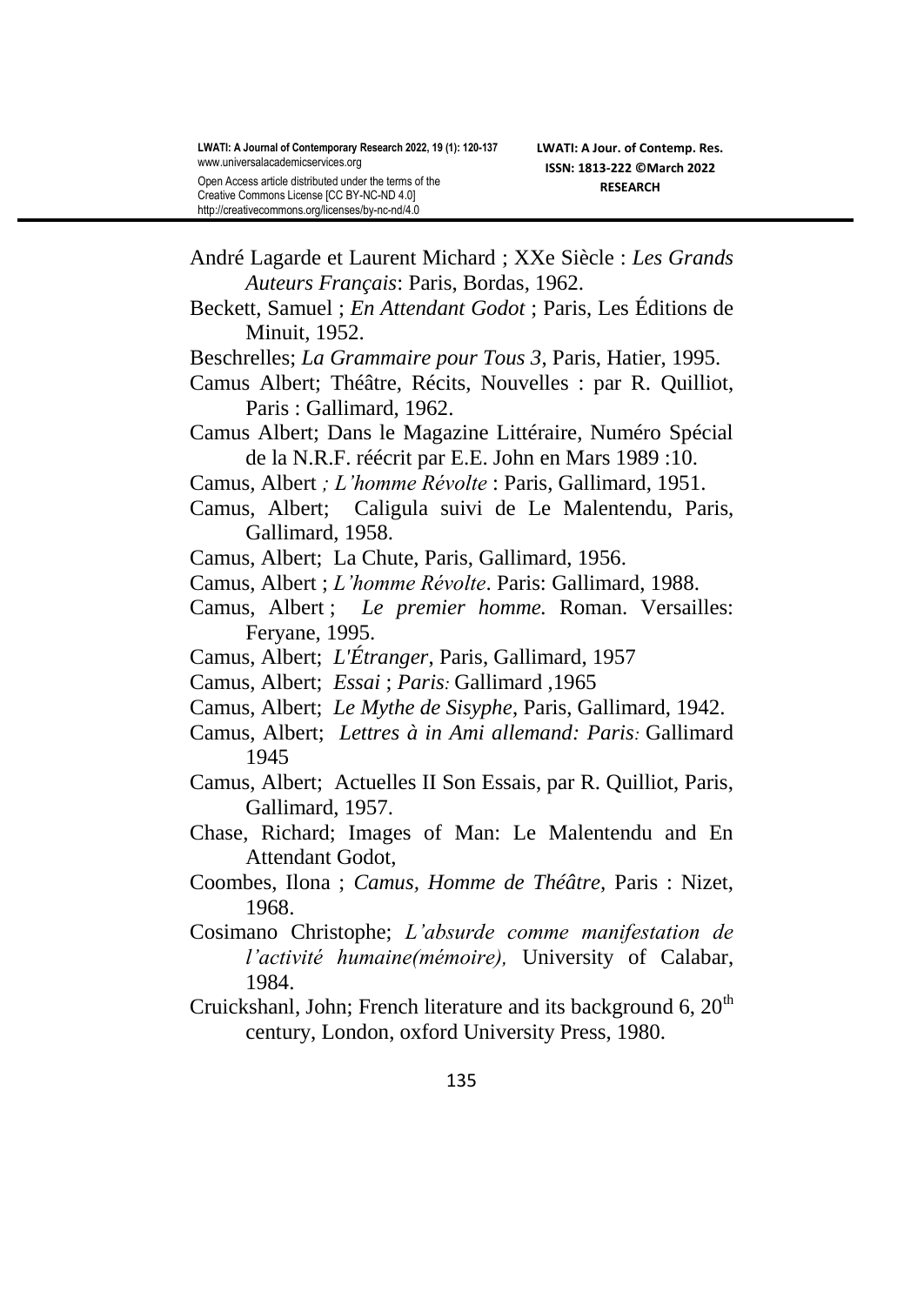- André Lagarde et Laurent Michard ; XXe Siècle : *Les Grands Auteurs Français*: Paris, Bordas, 1962.
- Beckett, Samuel ; *En Attendant Godot* ; Paris, Les Éditions de Minuit, 1952.
- Beschrelles; *La Grammaire pour Tous 3*, Paris, Hatier, 1995.
- Camus Albert; Théâtre, Récits, Nouvelles : par R. Quilliot, Paris : Gallimard, 1962.
- Camus Albert; Dans le Magazine Littéraire, Numéro Spécial de la N.R.F. réécrit par E.E. John en Mars 1989 :10.
- Camus*,* Albert *; L'homme Révolte* : Paris, Gallimard, 1951.
- Camus, Albert; Caligula suivi de Le Malentendu, Paris, Gallimard, 1958.
- Camus, Albert; La Chute, Paris, Gallimard, 1956.
- Camus, Albert ; *L'homme Révolte*. Paris: Gallimard, 1988.
- Camus, Albert ; *Le premier homme.* Roman. Versailles: Feryane, 1995.
- Camus, Albert; *L'Étranger*, Paris, Gallimard, 1957
- Camus, Albert; *Essai* ; *Paris:* Gallimard ,1965
- Camus, Albert; *Le Mythe de Sisyphe*, Paris, Gallimard, 1942.
- Camus, Albert; *Lettres à in Ami allemand: Paris:* Gallimard 1945
- Camus, Albert; Actuelles II Son Essais, par R. Quilliot, Paris, Gallimard, 1957.
- Chase, Richard; Images of Man: Le Malentendu and En Attendant Godot,
- Coombes, Ilona ; *Camus, Homme de Théâtre,* Paris : Nizet, 1968.
- Cosimano Christophe; *L'absurde comme manifestation de l'activité humaine(mémoire),* University of Calabar, 1984.
- Cruickshanl, John; French literature and its background 6,  $20<sup>th</sup>$ century, London, oxford University Press, 1980.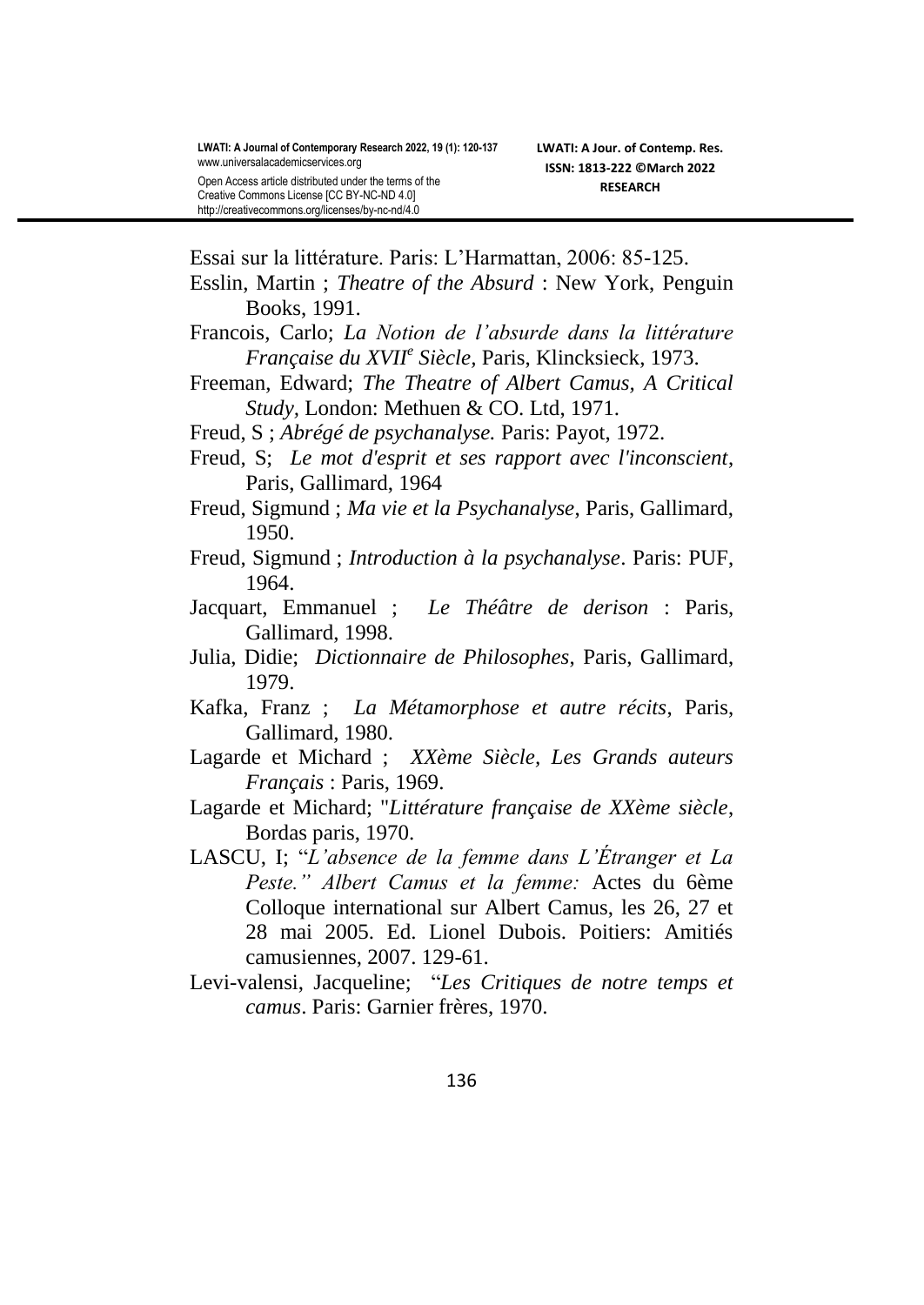Essai sur la littérature. Paris: L'Harmattan, 2006: 85-125.

- Esslin, Martin ; *Theatre of the Absurd* : New York, Penguin Books, 1991.
- Francois, Carlo; *La Notion de l'absurde dans la littérature Française du XVII<sup>e</sup> Siècle,* Paris, Klincksieck, 1973.
- Freeman, Edward; *The Theatre of Albert Camus, A Critical Study,* London: Methuen & CO. Ltd, 1971.
- Freud, S ; *Abrégé de psychanalyse.* Paris: Payot, 1972.
- Freud, S; *Le mot d'esprit et ses rapport avec l'inconscient*, Paris, Gallimard, 1964
- Freud, Sigmund ; *Ma vie et la Psychanalyse*, Paris, Gallimard, 1950.
- Freud, Sigmund ; *Introduction à la psychanalyse*. Paris: PUF, 1964.
- Jacquart, Emmanuel ; *Le Théâtre de derison* : Paris, Gallimard, 1998.
- Julia, Didie; *Dictionnaire de Philosophes*, Paris, Gallimard, 1979.
- Kafka, Franz ; *La Métamorphose et autre récits*, Paris, Gallimard, 1980.
- Lagarde et Michard ; *XXème Siècle, Les Grands auteurs Français* : Paris, 1969.
- Lagarde et Michard; "*Littérature française de XXème siècle*, Bordas paris, 1970.
- LASCU, I; "*L'absence de la femme dans L'Étranger et La Peste." Albert Camus et la femme:* Actes du 6ème Colloque international sur Albert Camus, les 26, 27 et 28 mai 2005. Ed. Lionel Dubois. Poitiers: Amitiés camusiennes, 2007. 129-61.
- Levi-valensi, Jacqueline; "*Les Critiques de notre temps et camus*. Paris: Garnier frères, 1970.